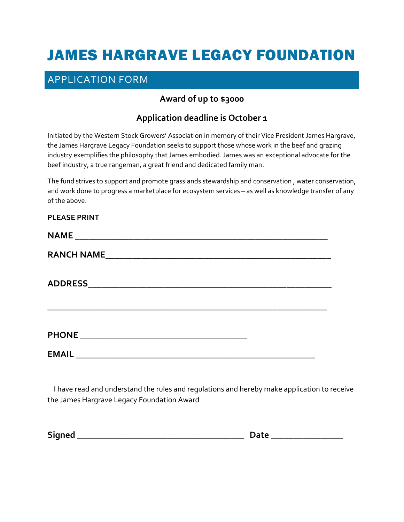# JAMES HARGRAVE LEGACY FOUNDATION

## APPLICATION FORM

## **Award of up to \$3000**

### **Application deadline is October 1**

Initiated by the Western Stock Growers' Association in memory of their Vice President James Hargrave, the James Hargrave Legacy Foundation seeks to support those whose work in the beef and grazing industry exemplifies the philosophy that James embodied. James was an exceptional advocate for the beef industry, a true rangeman, a great friend and dedicated family man.

The fund strives to support and promote grasslands stewardship and conservation, water conservation, and work done to progress a marketplace for ecosystem services – as well as knowledge transfer of any of the above.

## **PLEASE PRINT**

| <b>NAME</b>                                                               |  |
|---------------------------------------------------------------------------|--|
| <b>RANCH NAME</b><br><u> 1980 - Jan Barnett, fransk politik (d. 1980)</u> |  |
|                                                                           |  |
|                                                                           |  |
|                                                                           |  |
|                                                                           |  |

 I have read and understand the rules and regulations and hereby make application to receive the James Hargrave Legacy Foundation Award

**Signed \_\_\_\_\_\_\_\_\_\_\_\_\_\_\_\_\_\_\_\_\_\_\_\_\_\_\_\_\_\_\_\_\_\_\_\_\_ Date \_\_\_\_\_\_\_\_\_\_\_\_\_\_\_\_** 

| - -<br>$-$ |  |  |  |
|------------|--|--|--|
|            |  |  |  |